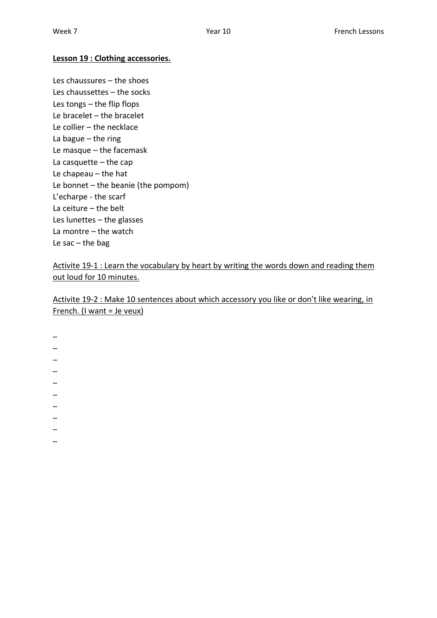## **Lesson 19 : Clothing accessories.**

Les chaussures – the shoes Les chaussettes – the socks Les tongs – the flip flops Le bracelet – the bracelet Le collier – the necklace La bague – the ring Le masque – the facemask La casquette  $-$  the cap Le chapeau – the hat Le bonnet – the beanie (the pompom) L'echarpe - the scarf La ceiture – the belt Les lunettes – the glasses La montre – the watch Le sac  $-$  the bag

Activite 19-1 : Learn the vocabulary by heart by writing the words down and reading them out loud for 10 minutes.

Activite 19-2 : Make 10 sentences about which accessory you like or don't like wearing, in French. (I want = Je veux)

\_  $\overline{\phantom{0}}$  $\overline{\phantom{0}}$  $\overline{\phantom{0}}$ \_ \_  $\overline{a}$ \_  $\overline{\phantom{a}}$  $\overline{\phantom{0}}$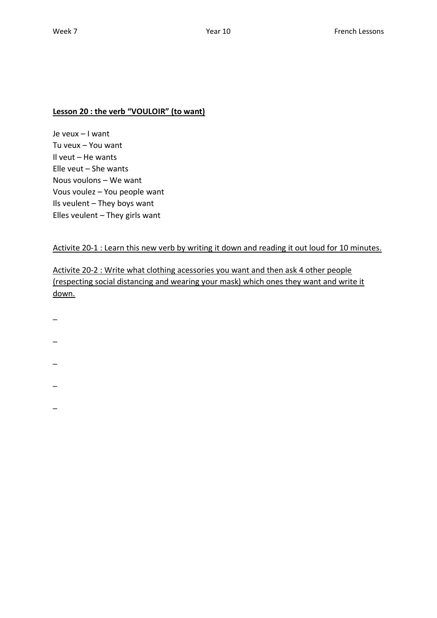## **Lesson 20 : the verb "VOULOIR" (to want)**

Je veux – I want Tu veux – You want Il veut – He wants Elle veut – She wants Nous voulons – We want Vous voulez – You people want Ils veulent – They boys want Elles veulent – They girls want

Activite 20-1 : Learn this new verb by writing it down and reading it out loud for 10 minutes.

Activite 20-2 : Write what clothing acessories you want and then ask 4 other people (respecting social distancing and wearing your mask) which ones they want and write it down.

- $\overline{\phantom{a}}$
- \_
- 
- $\overline{\phantom{0}}$
- 
- \_
- \_